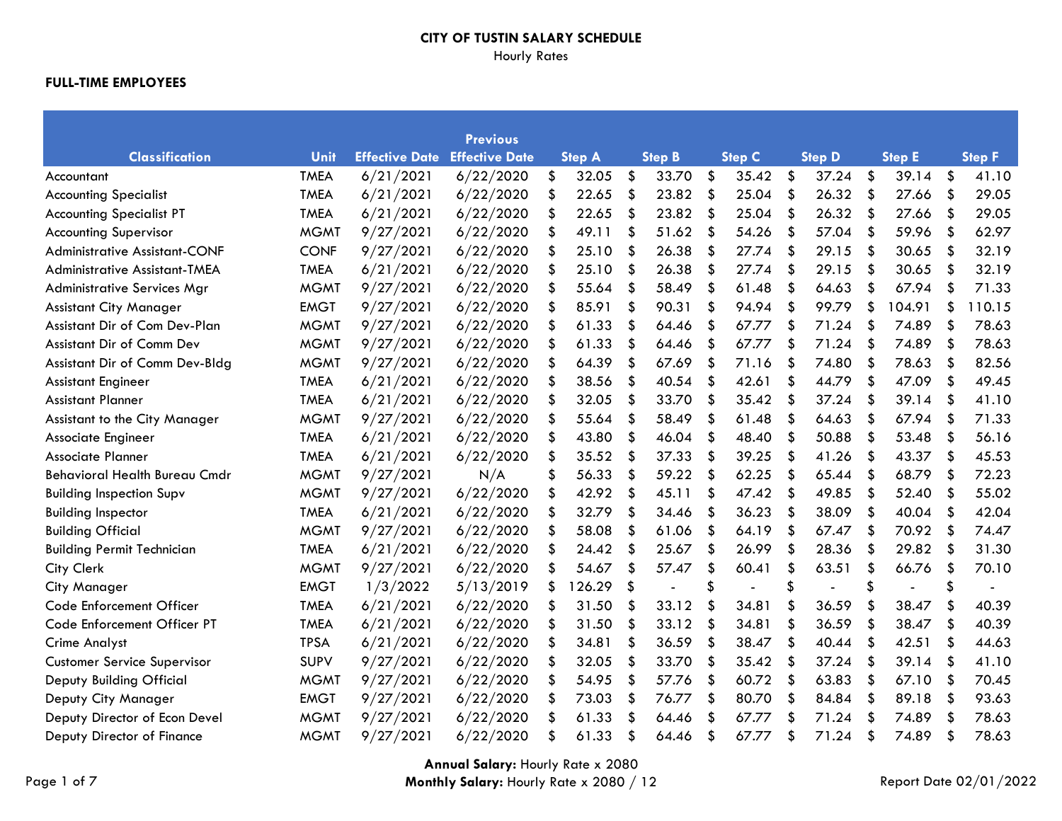# Hourly Rates

|                                      |             |                       | <b>Previous</b>       |               |    |               |    |               |                           |                |                           |               |     |               |
|--------------------------------------|-------------|-----------------------|-----------------------|---------------|----|---------------|----|---------------|---------------------------|----------------|---------------------------|---------------|-----|---------------|
| <b>Classification</b>                | Unit        | <b>Effective Date</b> | <b>Effective Date</b> | <b>Step A</b> |    | <b>Step B</b> |    | <b>Step C</b> |                           | <b>Step D</b>  |                           | <b>Step E</b> |     | <b>Step F</b> |
| Accountant                           | <b>TMEA</b> | 6/21/2021             | 6/22/2020             | \$<br>32.05   | \$ | 33.70         | \$ | 35.42         | \$                        | 37.24          | \$                        | 39.14         | \$  | 41.10         |
| <b>Accounting Specialist</b>         | <b>TMEA</b> | 6/21/2021             | 6/22/2020             | \$<br>22.65   | \$ | 23.82         | \$ | 25.04         | \$                        | 26.32          | $\boldsymbol{\mathsf{S}}$ | 27.66         | \$  | 29.05         |
| <b>Accounting Specialist PT</b>      | <b>TMEA</b> | 6/21/2021             | 6/22/2020             | \$<br>22.65   | \$ | 23.82         | \$ | 25.04         | \$                        | 26.32          | \$                        | 27.66         | \$  | 29.05         |
| <b>Accounting Supervisor</b>         | <b>MGMT</b> | 9/27/2021             | 6/22/2020             | \$<br>49.11   | \$ | 51.62         | \$ | 54.26         | \$                        | 57.04          | \$                        | 59.96         | \$  | 62.97         |
| Administrative Assistant-CONF        | <b>CONF</b> | 9/27/2021             | 6/22/2020             | \$<br>25.10   | \$ | 26.38         | \$ | 27.74         | \$                        | 29.15          | \$                        | 30.65         | \$  | 32.19         |
| Administrative Assistant-TMEA        | <b>TMEA</b> | 6/21/2021             | 6/22/2020             | \$<br>25.10   | \$ | 26.38         | \$ | 27.74         | \$                        | 29.15          | \$                        | 30.65         | \$  | 32.19         |
| <b>Administrative Services Mgr</b>   | <b>MGMT</b> | 9/27/2021             | 6/22/2020             | \$<br>55.64   | \$ | 58.49         | \$ | 61.48         | \$                        | 64.63          | \$                        | 67.94         | \$  | 71.33         |
| <b>Assistant City Manager</b>        | <b>EMGT</b> | 9/27/2021             | 6/22/2020             | \$<br>85.91   | \$ | 90.31         |    | 94.94         | $\boldsymbol{\mathsf{s}}$ | 99.79          | \$                        | 104.91        | \$  | 110.15        |
| Assistant Dir of Com Dev-Plan        | <b>MGMT</b> | 9/27/2021             | 6/22/2020             | \$<br>61.33   | \$ | 64.46         | \$ | 67.77         | \$                        | 71.24          | \$                        | 74.89         | \$  | 78.63         |
| Assistant Dir of Comm Dev            | <b>MGMT</b> | 9/27/2021             | 6/22/2020             | \$<br>61.33   | \$ | 64.46         | \$ | 67.77         | \$                        | 71.24          | \$                        | 74.89         | \$  | 78.63         |
| Assistant Dir of Comm Dev-Bldg       | <b>MGMT</b> | 9/27/2021             | 6/22/2020             | \$<br>64.39   | \$ | 67.69         | \$ | 71.16         | \$                        | 74.80          | \$                        | 78.63         | \$  | 82.56         |
| <b>Assistant Engineer</b>            | <b>TMEA</b> | 6/21/2021             | 6/22/2020             | \$<br>38.56   | S  | 40.54         | S  | 42.61         | \$                        | 44.79          | \$                        | 47.09         | -\$ | 49.45         |
| <b>Assistant Planner</b>             | <b>TMEA</b> | 6/21/2021             | 6/22/2020             | \$<br>32.05   | \$ | 33.70         | \$ | 35.42         | \$                        | 37.24          | \$                        | 39.14         | \$  | 41.10         |
| Assistant to the City Manager        | <b>MGMT</b> | 9/27/2021             | 6/22/2020             | \$<br>55.64   | \$ | 58.49         | \$ | 61.48         | \$                        | 64.63          | \$                        | 67.94         | \$  | 71.33         |
| Associate Engineer                   | <b>TMEA</b> | 6/21/2021             | 6/22/2020             | \$<br>43.80   | \$ | 46.04         | \$ | 48.40         | \$                        | 50.88          | \$                        | 53.48         | \$  | 56.16         |
| Associate Planner                    | <b>TMEA</b> | 6/21/2021             | 6/22/2020             | \$<br>35.52   | \$ | 37.33         | \$ | 39.25         | \$                        | 41.26          | \$                        | 43.37         | \$  | 45.53         |
| <b>Behavioral Health Bureau Cmdr</b> | <b>MGMT</b> | 9/27/2021             | N/A                   | \$<br>56.33   | \$ | 59.22         | \$ | 62.25         | \$                        | 65.44          | \$                        | 68.79         | \$  | 72.23         |
| <b>Building Inspection Supv</b>      | <b>MGMT</b> | 9/27/2021             | 6/22/2020             | \$<br>42.92   | \$ | 45.11         | \$ | 47.42         | \$                        | 49.85          | \$                        | 52.40         | \$  | 55.02         |
| <b>Building Inspector</b>            | <b>TMEA</b> | 6/21/2021             | 6/22/2020             | \$<br>32.79   | \$ | 34.46         | \$ | 36.23         | \$                        | 38.09          | \$                        | 40.04         | \$  | 42.04         |
| <b>Building Official</b>             | <b>MGMT</b> | 9/27/2021             | 6/22/2020             | \$<br>58.08   | \$ | 61.06         | \$ | 64.19         | \$                        | 67.47          | \$                        | 70.92         | -\$ | 74.47         |
| <b>Building Permit Technician</b>    | <b>TMEA</b> | 6/21/2021             | 6/22/2020             | \$<br>24.42   | \$ | 25.67         |    | 26.99         | \$                        | 28.36          | \$                        | 29.82         | -\$ | 31.30         |
| City Clerk                           | <b>MGMT</b> | 9/27/2021             | 6/22/2020             | \$<br>54.67   | \$ | 57.47         | \$ | 60.41         | \$                        | 63.51          | \$                        | 66.76         | \$  | 70.10         |
| <b>City Manager</b>                  | <b>EMGT</b> | 1/3/2022              | 5/13/2019             | \$<br>126.29  | \$ | L.            |    | $\sim$        | \$                        | $\blacksquare$ | \$                        |               | \$  |               |
| Code Enforcement Officer             | <b>TMEA</b> | 6/21/2021             | 6/22/2020             | \$<br>31.50   | \$ | 33.12         | \$ | 34.81         | \$                        | 36.59          | \$                        | 38.47         | \$  | 40.39         |
| Code Enforcement Officer PT          | <b>TMEA</b> | 6/21/2021             | 6/22/2020             | \$<br>31.50   | \$ | 33.12         | \$ | 34.81         | \$                        | 36.59          | \$                        | 38.47         | \$  | 40.39         |
| <b>Crime Analyst</b>                 | <b>TPSA</b> | 6/21/2021             | 6/22/2020             | \$<br>34.81   | \$ | 36.59         | \$ | 38.47         | \$                        | 40.44          | \$                        | 42.51         | \$  | 44.63         |
| <b>Customer Service Supervisor</b>   | <b>SUPV</b> | 9/27/2021             | 6/22/2020             | \$<br>32.05   | \$ | 33.70         | \$ | 35.42         | \$                        | 37.24          | \$                        | 39.14         | \$  | 41.10         |
| Deputy Building Official             | <b>MGMT</b> | 9/27/2021             | 6/22/2020             | \$<br>54.95   | \$ | 57.76         | \$ | 60.72         | \$                        | 63.83          | \$                        | 67.10         | \$  | 70.45         |
| Deputy City Manager                  | <b>EMGT</b> | 9/27/2021             | 6/22/2020             | \$<br>73.03   | \$ | 76.77         | \$ | 80.70         | \$                        | 84.84          | \$                        | 89.18         | \$  | 93.63         |
| Deputy Director of Econ Devel        | <b>MGMT</b> | 9/27/2021             | 6/22/2020             | \$<br>61.33   | \$ | 64.46         |    | 67.77         | \$                        | 71.24          | \$                        | 74.89         | \$  | 78.63         |
| Deputy Director of Finance           | <b>MGMT</b> | 9/27/2021             | 6/22/2020             | \$<br>61.33   | \$ | 64.46         | \$ | 67.77         | \$                        | 71.24          | \$                        | 74.89         | -\$ | 78.63         |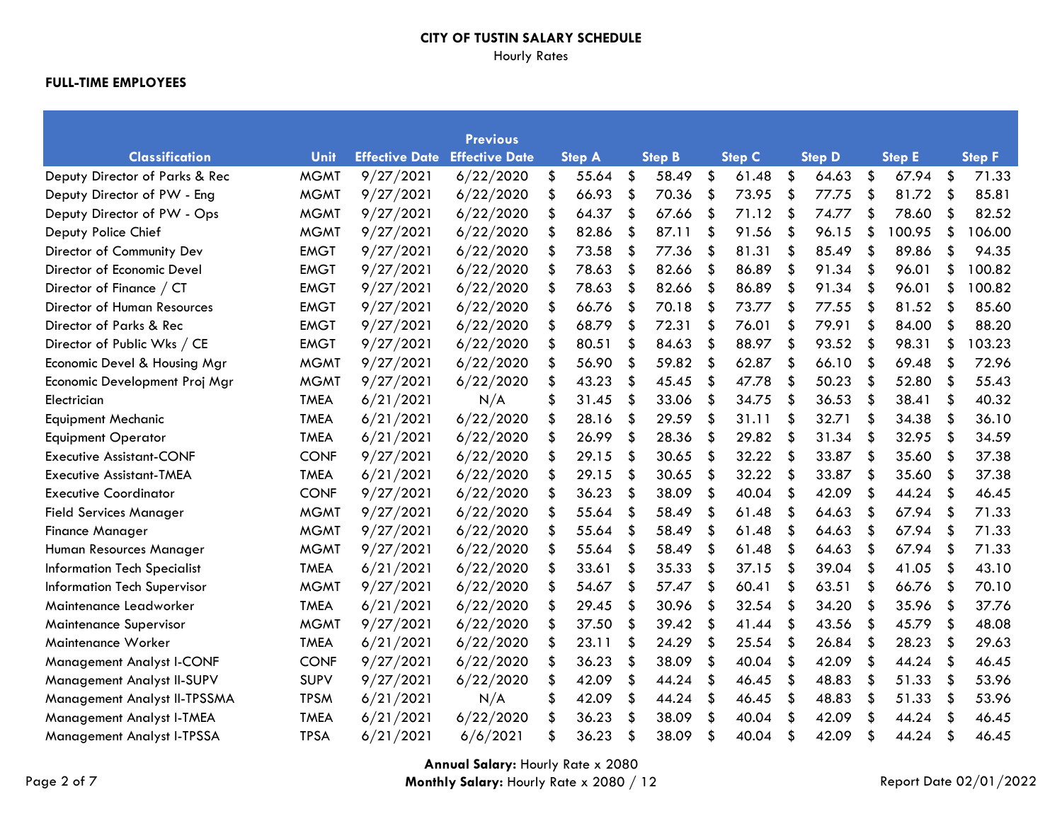# Hourly Rates

|                                    |             |                       | <b>Previous</b>       |    |               |     |               |               |     |               |               |                           |               |
|------------------------------------|-------------|-----------------------|-----------------------|----|---------------|-----|---------------|---------------|-----|---------------|---------------|---------------------------|---------------|
| <b>Classification</b>              | Unit        | <b>Effective Date</b> | <b>Effective Date</b> |    | <b>Step A</b> |     | <b>Step B</b> | <b>Step C</b> |     | <b>Step D</b> | <b>Step E</b> |                           | <b>Step F</b> |
| Deputy Director of Parks & Rec     | <b>MGMT</b> | 9/27/2021             | 6/22/2020             | \$ | 55.64         | \$  | 58.49         | \$<br>61.48   | \$  | 64.63         | \$<br>67.94   | \$                        | 71.33         |
| Deputy Director of PW - Eng        | <b>MGMT</b> | 9/27/2021             | 6/22/2020             | \$ | 66.93         | \$  | 70.36         | \$<br>73.95   | \$  | 77.75         | \$<br>81.72   | $\boldsymbol{\mathsf{S}}$ | 85.81         |
| Deputy Director of PW - Ops        | <b>MGMT</b> | 9/27/2021             | 6/22/2020             | \$ | 64.37         | \$  | 67.66         | \$<br>71.12   | -\$ | 74.77         | \$<br>78.60   | \$                        | 82.52         |
| Deputy Police Chief                | <b>MGMT</b> | 9/27/2021             | 6/22/2020             | \$ | 82.86         | \$  | 87.11         | \$<br>91.56   | \$  | 96.15         | \$<br>100.95  | \$                        | 106.00        |
| Director of Community Dev          | <b>EMGT</b> | 9/27/2021             | 6/22/2020             | \$ | 73.58         | \$  | 77.36         | \$<br>81.31   | \$  | 85.49         | \$<br>89.86   | \$                        | 94.35         |
| Director of Economic Devel         | <b>EMGT</b> | 9/27/2021             | 6/22/2020             | \$ | 78.63         | \$  | 82.66         | \$<br>86.89   | \$  | 91.34         | \$<br>96.01   | \$                        | 100.82        |
| Director of Finance / CT           | <b>EMGT</b> | 9/27/2021             | 6/22/2020             | \$ | 78.63         | \$  | 82.66         | \$<br>86.89   | \$  | 91.34         | \$<br>96.01   | \$                        | 100.82        |
| Director of Human Resources        | <b>EMGT</b> | 9/27/2021             | 6/22/2020             |    | 66.76         | \$  | 70.18         | \$<br>73.77   | \$  | 77.55         | \$<br>81.52   | $\frac{1}{2}$             | 85.60         |
| Director of Parks & Rec            | <b>EMGT</b> | 9/27/2021             | 6/22/2020             | \$ | 68.79         | \$  | 72.31         | \$<br>76.01   | \$  | 79.91         | \$<br>84.00   | \$                        | 88.20         |
| Director of Public Wks / CE        | <b>EMGT</b> | 9/27/2021             | 6/22/2020             | \$ | 80.51         | \$  | 84.63         | \$<br>88.97   | \$  | 93.52         | \$<br>98.31   | \$                        | 103.23        |
| Economic Devel & Housing Mgr       | <b>MGMT</b> | 9/27/2021             | 6/22/2020             | \$ | 56.90         | \$  | 59.82         | \$<br>62.87   | \$  | 66.10         | \$<br>69.48   | \$                        | 72.96         |
| Economic Development Proj Mgr      | <b>MGMT</b> | 9/27/2021             | 6/22/2020             | \$ | 43.23         | \$  | 45.45         | \$<br>47.78   | \$  | 50.23         | \$<br>52.80   | -\$                       | 55.43         |
| Electrician                        | <b>TMEA</b> | 6/21/2021             | N/A                   | \$ | 31.45         | \$  | 33.06         | \$<br>34.75   | \$  | 36.53         | \$<br>38.41   | \$                        | 40.32         |
| <b>Equipment Mechanic</b>          | <b>TMEA</b> | 6/21/2021             | 6/22/2020             | \$ | 28.16         | \$  | 29.59         | \$<br>31.11   | \$  | 32.71         | \$<br>34.38   | \$                        | 36.10         |
| <b>Equipment Operator</b>          | <b>TMEA</b> | 6/21/2021             | 6/22/2020             | \$ | 26.99         | \$  | 28.36         | \$<br>29.82   | -\$ | 31.34         | \$<br>32.95   | $\boldsymbol{\mathsf{S}}$ | 34.59         |
| <b>Executive Assistant-CONF</b>    | <b>CONF</b> | 9/27/2021             | 6/22/2020             | \$ | 29.15         | \$  | 30.65         | \$<br>32.22   | \$  | 33.87         | \$<br>35.60   | \$                        | 37.38         |
| <b>Executive Assistant-TMEA</b>    | <b>TMEA</b> | 6/21/2021             | 6/22/2020             | \$ | 29.15         | \$  | 30.65         | \$<br>32.22   | \$  | 33.87         | \$<br>35.60   | \$                        | 37.38         |
| <b>Executive Coordinator</b>       | <b>CONF</b> | 9/27/2021             | 6/22/2020             | \$ | 36.23         | \$  | 38.09         | \$<br>40.04   | \$  | 42.09         | \$<br>44.24   | \$                        | 46.45         |
| <b>Field Services Manager</b>      | <b>MGMT</b> | 9/27/2021             | 6/22/2020             | \$ | 55.64         | \$  | 58.49         | \$<br>61.48   | \$  | 64.63         | \$<br>67.94   | \$                        | 71.33         |
| <b>Finance Manager</b>             | <b>MGMT</b> | 9/27/2021             | 6/22/2020             | \$ | 55.64         | \$  | 58.49         | \$<br>61.48   | \$  | 64.63         | \$<br>67.94   | -\$                       | 71.33         |
| Human Resources Manager            | <b>MGMT</b> | 9/27/2021             | 6/22/2020             |    | 55.64         | \$. | 58.49         | \$<br>61.48   | \$  | 64.63         | \$<br>67.94   | -\$                       | 71.33         |
| <b>Information Tech Specialist</b> | <b>TMEA</b> | 6/21/2021             | 6/22/2020             | \$ | 33.61         | \$  | 35.33         | \$<br>37.15   | \$  | 39.04         | \$<br>41.05   | \$                        | 43.10         |
| <b>Information Tech Supervisor</b> | <b>MGMT</b> | 9/27/2021             | 6/22/2020             | \$ | 54.67         | \$  | 57.47         | \$<br>60.41   | \$  | 63.51         | \$<br>66.76   | \$                        | 70.10         |
| Maintenance Leadworker             | <b>TMEA</b> | 6/21/2021             | 6/22/2020             | \$ | 29.45         | \$  | 30.96         | \$<br>32.54   | \$  | 34.20         | \$<br>35.96   | $\boldsymbol{\mathsf{S}}$ | 37.76         |
| <b>Maintenance Supervisor</b>      | <b>MGMT</b> | 9/27/2021             | 6/22/2020             | \$ | 37.50         | \$  | 39.42         | \$<br>41.44   | \$  | 43.56         | \$<br>45.79   | \$                        | 48.08         |
| Maintenance Worker                 | <b>TMEA</b> | 6/21/2021             | 6/22/2020             | \$ | 23.11         | \$  | 24.29         | \$<br>25.54   | \$  | 26.84         | \$<br>28.23   | \$                        | 29.63         |
| Management Analyst I-CONF          | <b>CONF</b> | 9/27/2021             | 6/22/2020             | S  | 36.23         | \$  | 38.09         | \$<br>40.04   | \$  | 42.09         | \$<br>44.24   | \$                        | 46.45         |
| Management Analyst II-SUPV         | <b>SUPV</b> | 9/27/2021             | 6/22/2020             | \$ | 42.09         | \$  | 44.24         | \$<br>46.45   | \$  | 48.83         | \$<br>51.33   | \$                        | 53.96         |
| Management Analyst II-TPSSMA       | <b>TPSM</b> | 6/21/2021             | N/A                   | \$ | 42.09         | \$  | 44.24         | \$<br>46.45   | \$  | 48.83         | \$<br>51.33   | \$                        | 53.96         |
| Management Analyst I-TMEA          | <b>TMEA</b> | 6/21/2021             | 6/22/2020             |    | 36.23         | \$  | 38.09         | \$<br>40.04   | \$  | 42.09         | \$<br>44.24   | Ŝ.                        | 46.45         |
| Management Analyst I-TPSSA         | <b>TPSA</b> | 6/21/2021             | 6/6/2021              | \$ | 36.23         | \$  | 38.09         | \$<br>40.04   | \$  | 42.09         | \$<br>44.24   | \$                        | 46.45         |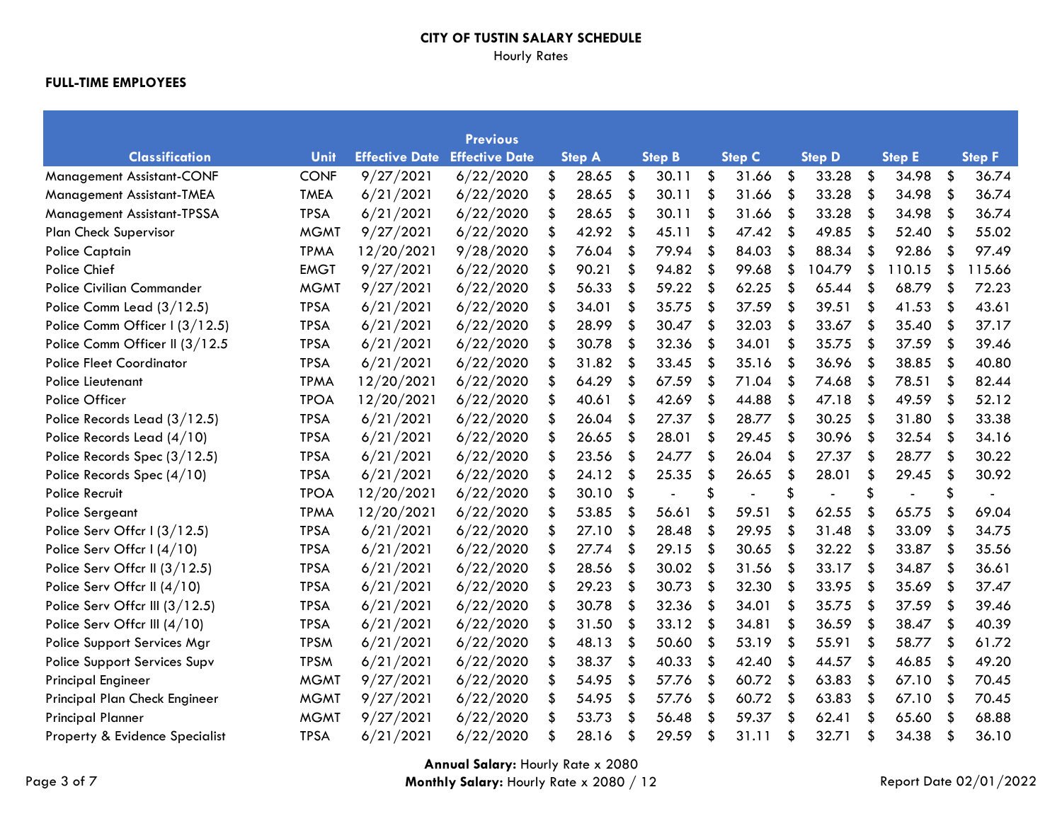# Hourly Rates

|                                  |             |                       | <b>Previous</b>       |               |     |                |               |                      |     |               |                           |               |
|----------------------------------|-------------|-----------------------|-----------------------|---------------|-----|----------------|---------------|----------------------|-----|---------------|---------------------------|---------------|
| <b>Classification</b>            | Unit        | <b>Effective Date</b> | <b>Effective Date</b> | <b>Step A</b> |     | <b>Step B</b>  | <b>Step C</b> | <b>Step D</b>        |     | <b>Step E</b> |                           | <b>Step F</b> |
| <b>Management Assistant-CONF</b> | <b>CONF</b> | 9/27/2021             | 6/22/2020             | \$<br>28.65   | \$  | 30.11          | \$<br>31.66   | \$<br>33.28          | \$  | 34.98         | \$                        | 36.74         |
| Management Assistant-TMEA        | <b>TMEA</b> | 6/21/2021             | 6/22/2020             | \$<br>28.65   | \$  | 30.11          | \$<br>31.66   | \$<br>33.28          | \$  | 34.98         | $\boldsymbol{\mathsf{S}}$ | 36.74         |
| Management Assistant-TPSSA       | <b>TPSA</b> | 6/21/2021             | 6/22/2020             | \$<br>28.65   | \$  | 30.11          | \$<br>31.66   | \$<br>33.28          | \$  | 34.98         | \$                        | 36.74         |
| <b>Plan Check Supervisor</b>     | <b>MGMT</b> | 9/27/2021             | 6/22/2020             | \$<br>42.92   | \$  | 45.11          | \$<br>47.42   | \$<br>49.85          | \$  | 52.40         | \$                        | 55.02         |
| Police Captain                   | <b>TPMA</b> | 12/20/2021            | 9/28/2020             | \$<br>76.04   | \$  | 79.94          | \$<br>84.03   | \$<br>88.34          | \$  | 92.86         | \$                        | 97.49         |
| Police Chief                     | <b>EMGT</b> | 9/27/2021             | 6/22/2020             | \$<br>90.21   | \$  | 94.82          | \$<br>99.68   | \$<br>104.79         | \$  | 110.15        | \$                        | 115.66        |
| <b>Police Civilian Commander</b> | <b>MGMT</b> | 9/27/2021             | 6/22/2020             | \$<br>56.33   | \$  | 59.22          | \$<br>62.25   | \$<br>65.44          | \$  | 68.79         | \$                        | 72.23         |
| Police Comm Lead (3/12.5)        | <b>TPSA</b> | 6/21/2021             | 6/22/2020             | \$<br>34.01   | \$  | 35.75          | \$<br>37.59   | \$<br>39.51          | \$  | 41.53         | \$                        | 43.61         |
| Police Comm Officer I (3/12.5)   | <b>TPSA</b> | 6/21/2021             | 6/22/2020             | \$<br>28.99   | \$  | 30.47          | \$<br>32.03   | \$<br>33.67          | \$  | 35.40         | \$                        | 37.17         |
| Police Comm Officer II (3/12.5   | <b>TPSA</b> | 6/21/2021             | 6/22/2020             | \$<br>30.78   | \$  | 32.36          | \$<br>34.01   | \$<br>35.75          | \$  | 37.59         | \$                        | 39.46         |
| <b>Police Fleet Coordinator</b>  | <b>TPSA</b> | 6/21/2021             | 6/22/2020             | \$<br>31.82   | \$  | 33.45          | \$<br>35.16   | \$<br>36.96          | \$  | 38.85         | \$                        | 40.80         |
| Police Lieutenant                | <b>TPMA</b> | 12/20/2021            | 6/22/2020             | \$<br>64.29   | \$. | 67.59          | \$<br>71.04   | \$<br>74.68          | \$  | 78.51         | \$                        | 82.44         |
| Police Officer                   | <b>TPOA</b> | 12/20/2021            | 6/22/2020             | \$<br>40.61   | \$  | 42.69          | \$<br>44.88   | \$<br>47.18          | \$  | 49.59         | \$                        | 52.12         |
| Police Records Lead (3/12.5)     | <b>TPSA</b> | 6/21/2021             | 6/22/2020             | \$<br>26.04   | \$  | 27.37          | \$<br>28.77   | \$<br>30.25          | -\$ | 31.80         | \$                        | 33.38         |
| Police Records Lead (4/10)       | <b>TPSA</b> | 6/21/2021             | 6/22/2020             | \$<br>26.65   | \$  | 28.01          | \$<br>29.45   | \$<br>30.96          | \$  | 32.54         | \$                        | 34.16         |
| Police Records Spec (3/12.5)     | <b>TPSA</b> | 6/21/2021             | 6/22/2020             | \$<br>23.56   | \$  | 24.77          | \$<br>26.04   | \$<br>27.37          | \$  | 28.77         | \$                        | 30.22         |
| Police Records Spec (4/10)       | <b>TPSA</b> | 6/21/2021             | 6/22/2020             | \$<br>24.12   | \$  | 25.35          | \$<br>26.65   | \$<br>28.01          | \$  | 29.45         | \$                        | 30.92         |
| <b>Police Recruit</b>            | <b>TPOA</b> | 12/20/2021            | 6/22/2020             | \$<br>30.10   | \$  | $\blacksquare$ | \$            | \$<br>$\blacksquare$ | \$  |               | \$                        |               |
| Police Sergeant                  | <b>TPMA</b> | 12/20/2021            | 6/22/2020             | \$<br>53.85   | \$  | 56.61          | \$<br>59.51   | \$<br>62.55          | \$  | 65.75         | \$                        | 69.04         |
| Police Serv Offcr I (3/12.5)     | <b>TPSA</b> | 6/21/2021             | 6/22/2020             | \$<br>27.10   | \$  | 28.48          | \$<br>29.95   | \$<br>31.48          | \$  | 33.09         | \$                        | 34.75         |
| Police Serv Offcr I (4/10)       | <b>TPSA</b> | 6/21/2021             | 6/22/2020             | \$<br>27.74   | \$  | 29.15          | \$<br>30.65   | \$<br>32.22          | \$  | 33.87         | \$                        | 35.56         |
| Police Serv Offcr II (3/12.5)    | <b>TPSA</b> | 6/21/2021             | 6/22/2020             | \$<br>28.56   | \$  | 30.02          | \$<br>31.56   | \$<br>33.17          | \$  | 34.87         | \$                        | 36.61         |
| Police Serv Offcr II (4/10)      | <b>TPSA</b> | 6/21/2021             | 6/22/2020             | \$<br>29.23   | \$  | 30.73          | \$<br>32.30   | \$<br>33.95          | \$  | 35.69         | \$                        | 37.47         |
| Police Serv Offcr III (3/12.5)   | <b>TPSA</b> | 6/21/2021             | 6/22/2020             | \$<br>30.78   | \$  | 32.36          | \$<br>34.01   | \$<br>35.75          | \$  | 37.59         | $\boldsymbol{\mathsf{S}}$ | 39.46         |
| Police Serv Offcr III (4/10)     | <b>TPSA</b> | 6/21/2021             | 6/22/2020             | \$<br>31.50   | \$  | 33.12          | \$<br>34.81   | \$<br>36.59          | \$  | 38.47         | \$                        | 40.39         |
| Police Support Services Mgr      | <b>TPSM</b> | 6/21/2021             | 6/22/2020             | \$<br>48.13   | \$  | 50.60          | \$<br>53.19   | \$<br>55.91          | \$  | 58.77         | -\$                       | 61.72         |
| Police Support Services Supv     | <b>TPSM</b> | 6/21/2021             | 6/22/2020             | \$<br>38.37   | \$  | 40.33          | \$<br>42.40   | \$<br>44.57          | \$  | 46.85         | \$                        | 49.20         |
| <b>Principal Engineer</b>        | <b>MGMT</b> | 9/27/2021             | 6/22/2020             | \$<br>54.95   | \$  | 57.76          | \$<br>60.72   | \$<br>63.83          | \$  | 67.10         | \$                        | 70.45         |
| Principal Plan Check Engineer    | <b>MGMT</b> | 9/27/2021             | 6/22/2020             | \$<br>54.95   | \$  | 57.76          | \$<br>60.72   | \$<br>63.83          | \$  | 67.10         | \$                        | 70.45         |
| <b>Principal Planner</b>         | <b>MGMT</b> | 9/27/2021             | 6/22/2020             | \$<br>53.73   | S   | 56.48          | \$<br>59.37   | \$<br>62.41          | \$  | 65.60         | \$                        | 68.88         |
| Property & Evidence Specialist   | <b>TPSA</b> | 6/21/2021             | 6/22/2020             | \$<br>28.16   | \$  | 29.59          | \$<br>31.11   | \$<br>32.71          | \$  | 34.38         | \$                        | 36.10         |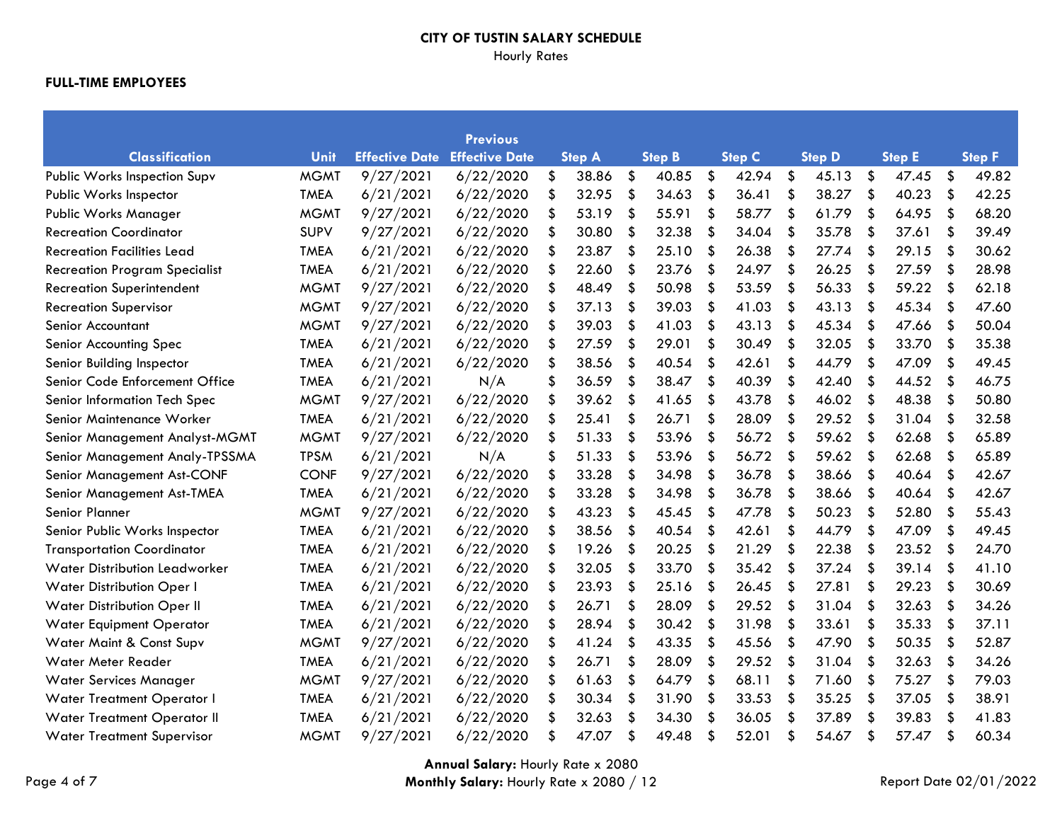# Hourly Rates

|                                      |             |                       | <b>Previous</b>       |               |                           |               |               |     |               |                           |               |                           |               |
|--------------------------------------|-------------|-----------------------|-----------------------|---------------|---------------------------|---------------|---------------|-----|---------------|---------------------------|---------------|---------------------------|---------------|
| <b>Classification</b>                | Unit        | <b>Effective Date</b> | <b>Effective Date</b> | <b>Step A</b> |                           | <b>Step B</b> | <b>Step C</b> |     | <b>Step D</b> |                           | <b>Step E</b> |                           | <b>Step F</b> |
| Public Works Inspection Supv         | <b>MGMT</b> | 9/27/2021             | 6/22/2020             | \$<br>38.86   | \$                        | 40.85         | \$<br>42.94   | \$  | 45.13         | \$                        | 47.45         | \$                        | 49.82         |
| Public Works Inspector               | <b>TMEA</b> | 6/21/2021             | 6/22/2020             | \$<br>32.95   | \$                        | 34.63         | \$<br>36.41   | \$  | 38.27         | \$                        | 40.23         | \$                        | 42.25         |
| Public Works Manager                 | <b>MGMT</b> | 9/27/2021             | 6/22/2020             | \$<br>53.19   | \$                        | 55.91         | \$<br>58.77   | \$  | 61.79         | \$                        | 64.95         | \$                        | 68.20         |
| <b>Recreation Coordinator</b>        | <b>SUPV</b> | 9/27/2021             | 6/22/2020             | \$<br>30.80   | \$                        | 32.38         | \$<br>34.04   | \$  | 35.78         | \$                        | 37.61         | \$                        | 39.49         |
| <b>Recreation Facilities Lead</b>    | <b>TMEA</b> | 6/21/2021             | 6/22/2020             | \$<br>23.87   | \$                        | 25.10         | \$<br>26.38   | \$  | 27.74         | \$                        | 29.15         | \$                        | 30.62         |
| <b>Recreation Program Specialist</b> | <b>TMEA</b> | 6/21/2021             | 6/22/2020             | \$<br>22.60   | \$                        | 23.76         | \$<br>24.97   | \$  | 26.25         | \$                        | 27.59         | $\boldsymbol{\mathsf{S}}$ | 28.98         |
| <b>Recreation Superintendent</b>     | <b>MGMT</b> | 9/27/2021             | 6/22/2020             | \$<br>48.49   | \$                        | 50.98         | \$<br>53.59   | \$  | 56.33         | \$                        | 59.22         | \$                        | 62.18         |
| <b>Recreation Supervisor</b>         | <b>MGMT</b> | 9/27/2021             | 6/22/2020             | \$<br>37.13   | \$                        | 39.03         | \$<br>41.03   | \$  | 43.13         | \$                        | 45.34         | \$                        | 47.60         |
| Senior Accountant                    | <b>MGMT</b> | 9/27/2021             | 6/22/2020             | \$<br>39.03   | \$                        | 41.03         | \$<br>43.13   | -\$ | 45.34         | -\$                       | 47.66         | \$                        | 50.04         |
| Senior Accounting Spec               | <b>TMEA</b> | 6/21/2021             | 6/22/2020             | \$<br>27.59   | $\boldsymbol{\mathsf{S}}$ | 29.01         | \$<br>30.49   | \$  | 32.05         | $\boldsymbol{\mathsf{S}}$ | 33.70         | $\boldsymbol{\mathsf{S}}$ | 35.38         |
| Senior Building Inspector            | <b>TMEA</b> | 6/21/2021             | 6/22/2020             | \$<br>38.56   | \$                        | 40.54         | \$<br>42.61   | \$  | 44.79         | \$                        | 47.09         | \$                        | 49.45         |
| Senior Code Enforcement Office       | <b>TMEA</b> | 6/21/2021             | N/A                   | \$<br>36.59   | \$                        | 38.47         | \$<br>40.39   | \$  | 42.40         | \$                        | 44.52         | \$                        | 46.75         |
| Senior Information Tech Spec         | <b>MGMT</b> | 9/27/2021             | 6/22/2020             | \$<br>39.62   | \$                        | 41.65         | \$<br>43.78   | \$  | 46.02         | -\$                       | 48.38         | \$                        | 50.80         |
| Senior Maintenance Worker            | <b>TMEA</b> | 6/21/2021             | 6/22/2020             | \$<br>25.41   | \$                        | 26.71         | \$<br>28.09   | \$  | 29.52         | \$                        | 31.04         | \$                        | 32.58         |
| Senior Management Analyst-MGMT       | <b>MGMT</b> | 9/27/2021             | 6/22/2020             | \$<br>51.33   | \$                        | 53.96         | \$<br>56.72   | -\$ | 59.62         | -\$                       | 62.68         | \$                        | 65.89         |
| Senior Management Analy-TPSSMA       | <b>TPSM</b> | 6/21/2021             | N/A                   | \$<br>51.33   | \$                        | 53.96         | \$<br>56.72   | \$  | 59.62         | \$                        | 62.68         | \$                        | 65.89         |
| Senior Management Ast-CONF           | <b>CONF</b> | 9/27/2021             | 6/22/2020             | \$<br>33.28   | S                         | 34.98         | \$<br>36.78   | \$  | 38.66         | \$                        | 40.64         | \$                        | 42.67         |
| Senior Management Ast-TMEA           | <b>TMEA</b> | 6/21/2021             | 6/22/2020             | \$<br>33.28   | \$                        | 34.98         | \$<br>36.78   | \$  | 38.66         | \$                        | 40.64         | \$                        | 42.67         |
| Senior Planner                       | <b>MGMT</b> | 9/27/2021             | 6/22/2020             | \$<br>43.23   | \$                        | 45.45         | \$<br>47.78   | \$  | 50.23         | \$                        | 52.80         | \$                        | 55.43         |
| Senior Public Works Inspector        | <b>TMEA</b> | 6/21/2021             | 6/22/2020             | \$<br>38.56   | \$                        | 40.54         | \$<br>42.61   | \$  | 44.79         | \$                        | 47.09         | \$                        | 49.45         |
| <b>Transportation Coordinator</b>    | <b>TMEA</b> | 6/21/2021             | 6/22/2020             | \$<br>19.26   | \$                        | 20.25         | \$<br>21.29   | \$  | 22.38         | \$                        | 23.52         | \$                        | 24.70         |
| <b>Water Distribution Leadworker</b> | <b>TMEA</b> | 6/21/2021             | 6/22/2020             | \$<br>32.05   | \$                        | 33.70         | \$<br>35.42   | \$  | 37.24         | \$                        | 39.14         | \$                        | 41.10         |
| Water Distribution Oper I            | <b>TMEA</b> | 6/21/2021             | 6/22/2020             | \$<br>23.93   | \$                        | 25.16         | \$<br>26.45   | \$  | 27.81         | \$                        | 29.23         | $\boldsymbol{\mathsf{S}}$ | 30.69         |
| Water Distribution Oper II           | <b>TMEA</b> | 6/21/2021             | 6/22/2020             | \$<br>26.71   | \$                        | 28.09         | \$<br>29.52   | \$  | 31.04         | \$                        | 32.63         | \$                        | 34.26         |
| Water Equipment Operator             | <b>TMEA</b> | 6/21/2021             | 6/22/2020             | \$<br>28.94   | \$                        | 30.42         | \$<br>31.98   | \$  | 33.61         | \$                        | 35.33         | \$                        | 37.11         |
| Water Maint & Const Supv             | <b>MGMT</b> | 9/27/2021             | 6/22/2020             | \$<br>41.24   | \$                        | 43.35         | \$<br>45.56   | \$  | 47.90         | \$                        | 50.35         | \$                        | 52.87         |
| Water Meter Reader                   | <b>TMEA</b> | 6/21/2021             | 6/22/2020             | \$<br>26.71   | \$                        | 28.09         | \$<br>29.52   | \$  | 31.04         | \$                        | 32.63         | \$                        | 34.26         |
| <b>Water Services Manager</b>        | <b>MGMT</b> | 9/27/2021             | 6/22/2020             | \$<br>61.63   | \$                        | 64.79         | \$<br>68.11   | \$  | 71.60         | \$                        | 75.27         | -\$                       | 79.03         |
| Water Treatment Operator I           | <b>TMEA</b> | 6/21/2021             | 6/22/2020             | \$<br>30.34   | \$                        | 31.90         | \$<br>33.53   | \$  | 35.25         | \$                        | 37.05         | \$                        | 38.91         |
| Water Treatment Operator II          | <b>TMEA</b> | 6/21/2021             | 6/22/2020             | 32.63         | S                         | 34.30         | \$<br>36.05   | \$  | 37.89         | \$                        | 39.83         | \$                        | 41.83         |
| <b>Water Treatment Supervisor</b>    | <b>MGMT</b> | 9/27/2021             | 6/22/2020             | \$<br>47.07   | \$                        | 49.48         | \$<br>52.01   | \$  | 54.67         | \$                        | 57.47         | \$                        | 60.34         |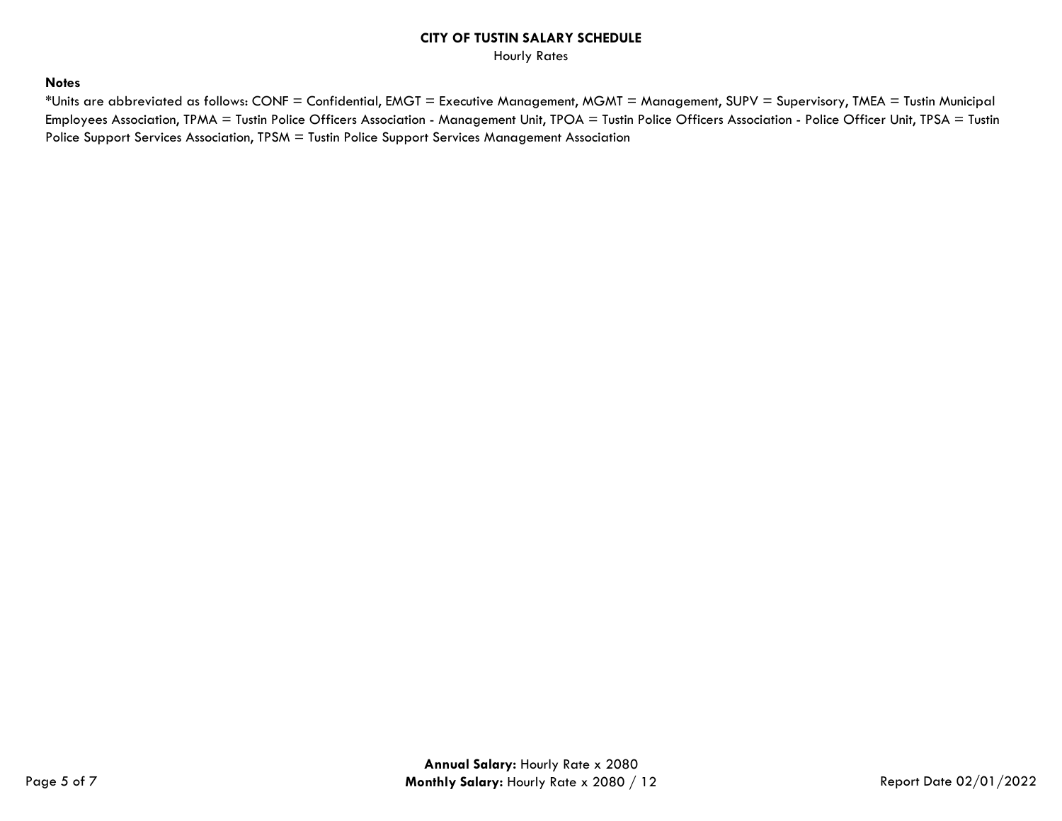Hourly Rates

## **Notes**

\*Units are abbreviated as follows: CONF = Confidential, EMGT = Executive Management, MGMT = Management, SUPV = Supervisory, TMEA = Tustin Municipal Employees Association, TPMA = Tustin Police Officers Association - Management Unit, TPOA = Tustin Police Officers Association - Police Officer Unit, TPSA = Tustin Police Support Services Association, TPSM = Tustin Police Support Services Management Association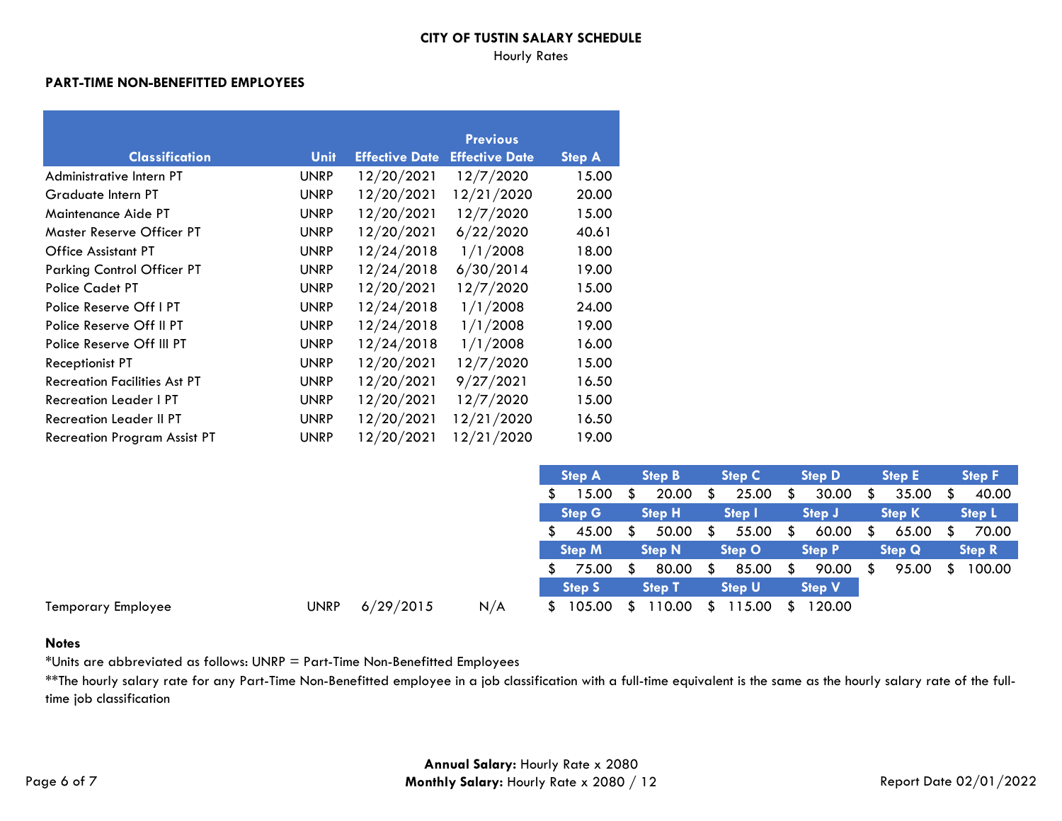#### Hourly Rates

#### **PART-TIME NON-BENEFITTED EMPLOYEES**

|                                     |             |                       | <b>Previous</b>       |               |
|-------------------------------------|-------------|-----------------------|-----------------------|---------------|
| <b>Classification</b>               | Unit        | <b>Effective Date</b> | <b>Effective Date</b> | <b>Step A</b> |
| Administrative Intern PT            | <b>UNRP</b> | 12/20/2021            | 12/7/2020             | 15.00         |
| Graduate Intern PT                  | <b>UNRP</b> | 12/20/2021            | 12/21/2020            | 20.00         |
| Maintenance Aide PT                 | <b>UNRP</b> | 12/20/2021            | 12/7/2020             | 15.00         |
| Master Reserve Officer PT           | <b>UNRP</b> | 12/20/2021            | 6/22/2020             | 40.61         |
| Office Assistant PT                 | <b>UNRP</b> | 12/24/2018            | 1/1/2008              | 18.00         |
| <b>Parking Control Officer PT</b>   | <b>UNRP</b> | 12/24/2018            | 6/30/2014             | 19.00         |
| Police Cadet PT                     | <b>UNRP</b> | 12/20/2021            | 12/7/2020             | 15.00         |
| Police Reserve Off I PT             | <b>UNRP</b> | 12/24/2018            | 1/1/2008              | 24.00         |
| Police Reserve Off II PT            | <b>UNRP</b> | 12/24/2018            | 1/1/2008              | 19.00         |
| Police Reserve Off III PT           | <b>UNRP</b> | 12/24/2018            | 1/1/2008              | 16.00         |
| Receptionist PT                     | <b>UNRP</b> | 12/20/2021            | 12/7/2020             | 15.00         |
| <b>Recreation Facilities Ast PT</b> | <b>UNRP</b> | 12/20/2021            | 9/27/2021             | 16.50         |
| <b>Recreation Leader I PT</b>       | <b>UNRP</b> | 12/20/2021            | 12/7/2020             | 15.00         |
| <b>Recreation Leader II PT</b>      | <b>UNRP</b> | 12/20/2021            | 12/21/2020            | 16.50         |
| <b>Recreation Program Assist PT</b> | <b>UNRP</b> | 12/20/2021            | 12/21/2020            | 19.00         |

|                    |             |           |     | Step A |               | <b>Step B</b> |               | <b>Step C</b> |               |   | <b>Step D</b> | <b>Step E</b> |               | <b>Step F</b> |               |
|--------------------|-------------|-----------|-----|--------|---------------|---------------|---------------|---------------|---------------|---|---------------|---------------|---------------|---------------|---------------|
|                    |             |           |     |        | 15.00         |               | 20.00         |               | 25.00         |   | 30.00         |               | 35.00         |               | 40.00         |
|                    |             |           |     |        | Step G        |               | <b>Step H</b> |               | Step I        |   | <b>Step J</b> |               | <b>Step K</b> |               | Step L        |
|                    |             |           |     |        | 45.00         |               | 50.00         |               | 55.00         | P | 60.00         | S             | 65.00         | - \$          | 70.00         |
|                    |             |           |     |        | <b>Step M</b> |               | <b>Step N</b> |               | <b>Step O</b> |   | <b>Step P</b> |               | <b>Step Q</b> |               | <b>Step R</b> |
|                    |             |           |     |        | 75.00         | S.            | 80.00         | S             | 85.00         |   | 90.00         | S             | 95.00         |               | 100.00        |
|                    |             |           |     |        | <b>Step S</b> |               | <b>Step T</b> |               | <b>Step U</b> |   | <b>Step V</b> |               |               |               |               |
| Temporary Employee | <b>UNRP</b> | 6/29/2015 | N/A |        | 105.00        |               | 10.00         | S.            | 15.00         |   | 120.00        |               |               |               |               |

#### **Notes**

\*Units are abbreviated as follows: UNRP = Part-Time Non-Benefitted Employees

\*\*The hourly salary rate for any Part-Time Non-Benefitted employee in a job classification with a full-time equivalent is the same as the hourly salary rate of the fulltime job classification